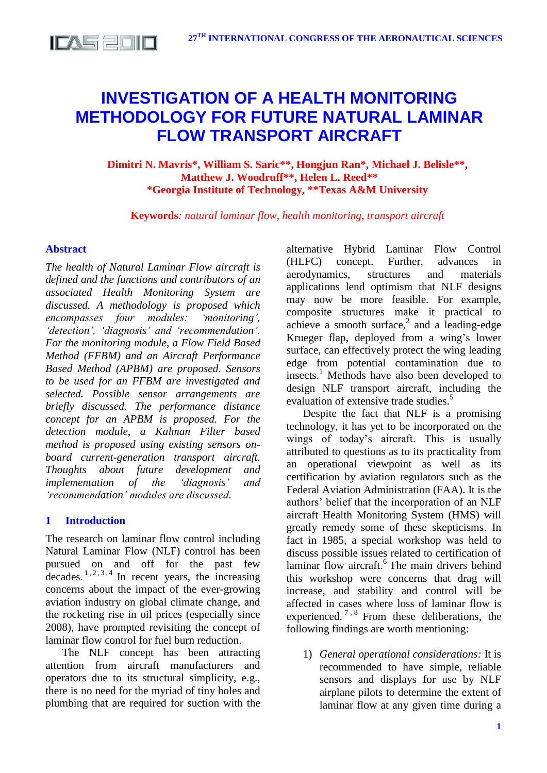# **INVESTIGATION OF A HEALTH MONITORING METHODOLOGY FOR FUTURE NATURAL LAMINAR FLOW TRANSPORT AIRCRAFT**

**Dimitri N. Mavris\*, William S. Saric\*\*, Hongjun Ran\*, Michael J. Belisle\*\*, Matthew J. Woodruff\*\*, Helen L. Reed\*\* \*Georgia Institute of Technology, \*\*Texas A&M University**

**Keywords***: natural laminar flow, health monitoring, transport aircraft*

#### **Abstract**

*The health of Natural Laminar Flow aircraft is defined and the functions and contributors of an associated Health Monitoring System are discussed. A methodology is proposed which encompasses four modules: 'monitoring', 'detection', 'diagnosis' and 'recommendation'. For the monitoring module, a Flow Field Based Method (FFBM) and an Aircraft Performance Based Method (APBM) are proposed. Sensors to be used for an FFBM are investigated and selected. Possible sensor arrangements are briefly discussed. The performance distance concept for an APBM is proposed. For the detection module, a Kalman Filter based method is proposed using existing sensors onboard current-generation transport aircraft. Thoughts about future development and implementation of the 'diagnosis' and 'recommendation' modules are discussed.*

### **1 Introduction**

<span id="page-0-2"></span><span id="page-0-1"></span><span id="page-0-0"></span>The research on laminar flow control including Natural Laminar Flow (NLF) control has been pursued on and off for the past few decades.<sup>1,2,3,4</sup> In recent years, the increasing concerns about the impact of the ever-growing aviation industry on global climate change, and the rocketing rise in oil prices (especially since 2008), have prompted revisiting the concept of laminar flow control for fuel burn reduction.

The NLF concept has been attracting attention from aircraft manufacturers and operators due to its structural simplicity, e.g., there is no need for the myriad of tiny holes and plumbing that are required for suction with the alternative Hybrid Laminar Flow Control (HLFC) concept. Further, advances in aerodynamics, structures and materials applications lend optimism that NLF designs may now be more feasible. For example, composite structures make it practical to achieve a smooth surface,<sup>[2](#page-0-0)</sup> and a leading-edge Krueger flap, deployed from a wing"s lower surface, can effectively protect the wing leading edge from potential contamination due to insects[.](#page-0-1)<sup>1</sup> Methods have also been developed to design NLF transport aircraft, including the evaluation of extensive trade studies. 5

Despite the fact that NLF is a promising technology, it has yet to be incorporated on the wings of today"s aircraft. This is usually attributed to questions as to its practicality from an operational viewpoint as well as its certification by aviation regulators such as the Federal Aviation Administration (FAA). It is the authors" belief that the incorporation of an NLF aircraft Health Monitoring System (HMS) will greatly remedy some of these skepticisms. In fact in 1985, a special workshop was held to discuss possible issues related to certification of laminar flow aircraft.<sup>6</sup> The main drivers behind this workshop were concerns that drag will increase, and stability and control will be affected in cases where loss of laminar flow is experienced.<sup>7,8</sup> From these deliberations, the following findings are worth mentioning:

<span id="page-0-4"></span><span id="page-0-3"></span>1) *General operational considerations:* It is recommended to have simple, reliable sensors and displays for use by NLF airplane pilots to determine the extent of laminar flow at any given time during a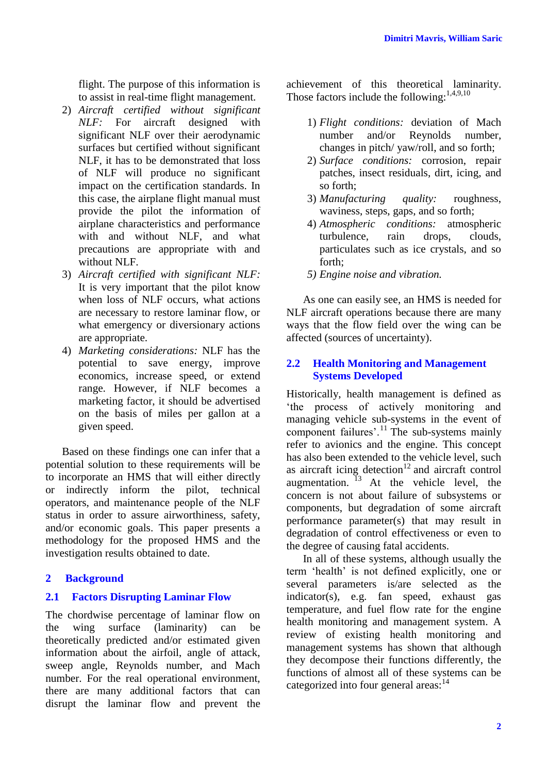flight. The purpose of this information is to assist in real-time flight management.

- 2) *Aircraft certified without significant NLF:* For aircraft designed with significant NLF over their aerodynamic surfaces but certified without significant NLF, it has to be demonstrated that loss of NLF will produce no significant impact on the certification standards. In this case, the airplane flight manual must provide the pilot the information of airplane characteristics and performance with and without NLF, and what precautions are appropriate with and without NLF.
- 3) *Aircraft certified with significant NLF:*  It is very important that the pilot know when loss of NLF occurs, what actions are necessary to restore laminar flow, or what emergency or diversionary actions are appropriate.
- 4) *Marketing considerations:* NLF has the potential to save energy, improve economics, increase speed, or extend range. However, if NLF becomes a marketing factor, it should be advertised on the basis of miles per gallon at a given speed.

Based on these findings one can infer that a potential solution to these requirements will be to incorporate an HMS that will either directly or indirectly inform the pilot, technical operators, and maintenance people of the NLF status in order to assure airworthiness, safety, and/or economic goals. This paper presents a methodology for the proposed HMS and the investigation results obtained to date.

## **2 Background**

### **2.1 Factors Disrupting Laminar Flow**

The chordwise percentage of laminar flow on the wing surface (laminarity) can be theoretically predicted and/or estimated given information about the airfoil, angle of attack, sweep angle, Reynolds number, and Mach number. For the real operational environment, there are many additional factors that can disrupt the laminar flow and prevent the achievement of this theoretical laminarity. Those factors include the following:  $1,4,9,10$  $1,4,9,10$  $1,4,9,10$ 

- 1) *Flight conditions:* deviation of Mach number and/or Reynolds number, changes in pitch/ yaw/roll, and so forth;
- 2) *Surface conditions:* corrosion, repair patches, insect residuals, dirt, icing, and so forth;
- 3) *Manufacturing quality:* roughness, waviness, steps, gaps, and so forth;
- 4) *Atmospheric conditions:* atmospheric turbulence, rain drops, clouds, particulates such as ice crystals, and so forth;
- *5) Engine noise and vibration.*

As one can easily see, an HMS is needed for NLF aircraft operations because there are many ways that the flow field over the wing can be affected (sources of uncertainty).

### **2.2 Health Monitoring and Management Systems Developed**

Historically, health management is defined as "the process of actively monitoring and managing vehicle sub-systems in the event of component failures'.<sup>11</sup> The sub-systems mainly refer to avionics and the engine. This concept has also been extended to the vehicle level, such as aircraft icing detection $12$  and aircraft control augmentation.  $\frac{13}{13}$  At the vehicle level, the concern is not about failure of subsystems or components, but degradation of some aircraft performance parameter(s) that may result in degradation of control effectiveness or even to the degree of causing fatal accidents.

In all of these systems, although usually the term "health" is not defined explicitly, one or several parameters is/are selected as the indicator(s), e.g. fan speed, exhaust gas temperature, and fuel flow rate for the engine health monitoring and management system. A review of existing health monitoring and management systems has shown that although they decompose their functions differently, the functions of almost all of these systems can be categorized into four general areas:<sup>14</sup>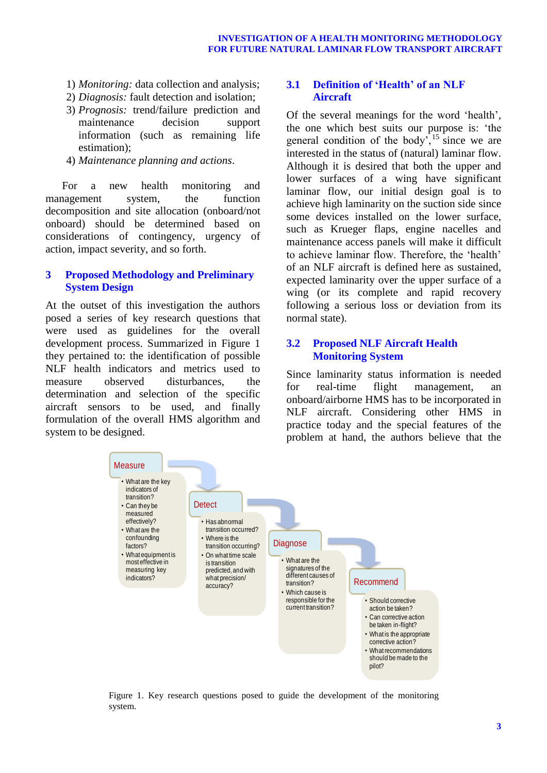- 1) *Monitoring:* data collection and analysis;
- 2) *Diagnosis:* fault detection and isolation;
- 3) *Prognosis:* trend/failure prediction and maintenance decision support information (such as remaining life estimation);
- 4) *Maintenance planning and actions*.

For a new health monitoring and management system, the function decomposition and site allocation (onboard/not onboard) should be determined based on considerations of contingency, urgency of action, impact severity, and so forth.

#### **3 Proposed Methodology and Preliminary System Design**

At the outset of this investigation the authors posed a series of key research questions that were used as guidelines for the overall development process. Summarized in [Figure 1](#page-2-0) they pertained to: the identification of possible NLF health indicators and metrics used to measure observed disturbances, the determination and selection of the specific aircraft sensors to be used, and finally formulation of the overall HMS algorithm and system to be designed.

#### **3.1 Definition of 'Health' of an NLF Aircraft**

Of the several meanings for the word "health", the one which best suits our purpose is: "the general condition of the body<sup> $\frac{15}{15}$ </sup> since we are interested in the status of (natural) laminar flow. Although it is desired that both the upper and lower surfaces of a wing have significant laminar flow, our initial design goal is to achieve high laminarity on the suction side since some devices installed on the lower surface, such as Krueger flaps, engine nacelles and maintenance access panels will make it difficult to achieve laminar flow. Therefore, the "health" of an NLF aircraft is defined here as sustained, expected laminarity over the upper surface of a wing (or its complete and rapid recovery following a serious loss or deviation from its normal state).

### **3.2 Proposed NLF Aircraft Health Monitoring System**

Since laminarity status information is needed for real-time flight management, an onboard/airborne HMS has to be incorporated in NLF aircraft. Considering other HMS in practice today and the special features of the problem at hand, the authors believe that the



<span id="page-2-0"></span>Figure 1. Key research questions posed to guide the development of the monitoring system.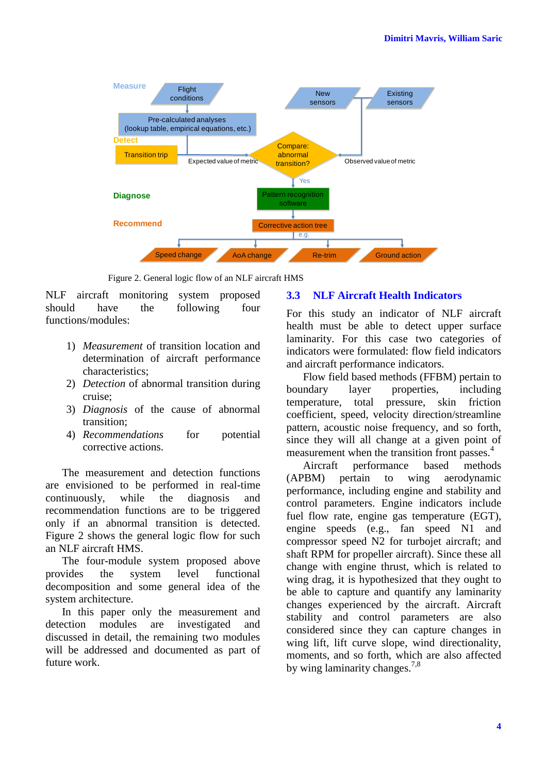

<span id="page-3-0"></span>Figure 2. General logic flow of an NLF aircraft HMS

NLF aircraft monitoring system proposed should have the following four functions/modules:

- 1) *Measurement* of transition location and determination of aircraft performance characteristics;
- 2) *Detection* of abnormal transition during cruise;
- 3) *Diagnosis* of the cause of abnormal transition;
- 4) *Recommendations* for potential corrective actions.

The measurement and detection functions are envisioned to be performed in real-time continuously, while the diagnosis and recommendation functions are to be triggered only if an abnormal transition is detected. [Figure 2](#page-3-0) shows the general logic flow for such an NLF aircraft HMS.

The four-module system proposed above provides the system level functional decomposition and some general idea of the system architecture.

In this paper only the measurement and detection modules are investigated and discussed in detail, the remaining two modules will be addressed and documented as part of future work.

#### **3.3 NLF Aircraft Health Indicators**

For this study an indicator of NLF aircraft health must be able to detect upper surface laminarity. For this case two categories of indicators were formulated: flow field indicators and aircraft performance indicators.

Flow field based methods (FFBM) pertain to boundary layer properties, including temperature, total pressure, skin friction coefficient, speed, velocity direction/streamline pattern, acoustic noise frequency, and so forth, since they will all change at a given point of measurement when the transition front passes. [4](#page-0-2)

Aircraft performance based methods (APBM) pertain to wing aerodynamic performance, including engine and stability and control parameters. Engine indicators include fuel flow rate, engine gas temperature (EGT), engine speeds (e.g., fan speed N1 and compressor speed N2 for turbojet aircraft; and shaft RPM for propeller aircraft). Since these all change with engine thrust, which is related to wing drag, it is hypothesized that they ought to be able to capture and quantify any laminarity changes experienced by the aircraft. Aircraft stability and control parameters are also considered since they can capture changes in wing lift, lift curve slope, wind directionality, moments, and so forth, which are also affected by wing laminarity changes.<sup>[7,](#page-0-3)[8](#page-0-4)</sup>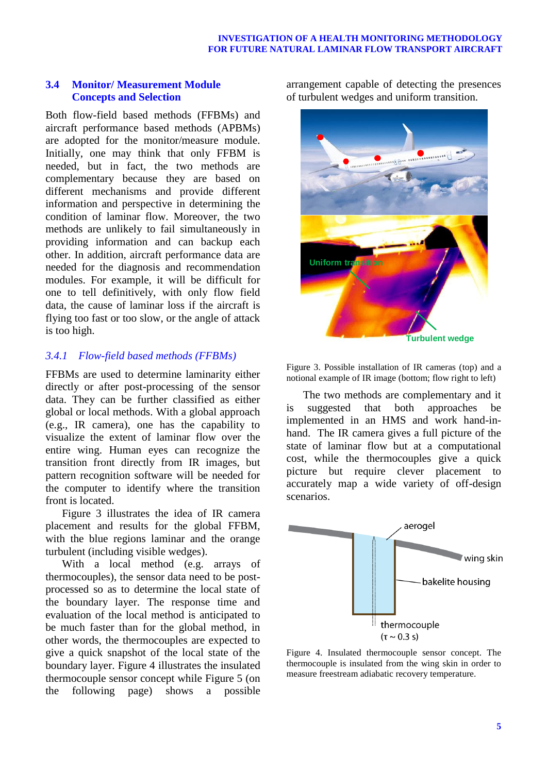#### **INVESTIGATION OF A HEALTH MONITORING METHODOLOGY FOR FUTURE NATURAL LAMINAR FLOW TRANSPORT AIRCRAFT**

#### **3.4 Monitor/ Measurement Module Concepts and Selection**

Both flow-field based methods (FFBMs) and aircraft performance based methods (APBMs) are adopted for the monitor/measure module. Initially, one may think that only FFBM is needed, but in fact, the two methods are complementary because they are based on different mechanisms and provide different information and perspective in determining the condition of laminar flow. Moreover, the two methods are unlikely to fail simultaneously in providing information and can backup each other. In addition, aircraft performance data are needed for the diagnosis and recommendation modules. For example, it will be difficult for one to tell definitively, with only flow field data, the cause of laminar loss if the aircraft is flying too fast or too slow, or the angle of attack is too high.

### *3.4.1 Flow-field based methods (FFBMs)*

FFBMs are used to determine laminarity either directly or after post-processing of the sensor data. They can be further classified as either global or local methods. With a global approach (e.g., IR camera), one has the capability to visualize the extent of laminar flow over the entire wing. Human eyes can recognize the transition front directly from IR images, but pattern recognition software will be needed for the computer to identify where the transition front is located.

[Figure 3](#page-4-0) illustrates the idea of IR camera placement and results for the global FFBM, with the blue regions laminar and the orange turbulent (including visible wedges).

With a local method (e.g. arrays of thermocouples), the sensor data need to be postprocessed so as to determine the local state of the boundary layer. The response time and evaluation of the local method is anticipated to be much faster than for the global method, in other words, the thermocouples are expected to give a quick snapshot of the local state of the boundary layer. [Figure 4](#page-4-1) illustrates the insulated thermocouple sensor concept while [Figure 5](#page-5-0) (on the following page) shows a possible arrangement capable of detecting the presences of turbulent wedges and uniform transition.



<span id="page-4-0"></span>Figure 3. Possible installation of IR cameras (top) and a notional example of IR image (bottom; flow right to left)

The two methods are complementary and it is suggested that both approaches be implemented in an HMS and work hand-inhand. The IR camera gives a full picture of the state of laminar flow but at a computational cost, while the thermocouples give a quick picture but require clever placement to accurately map a wide variety of off-design scenarios.



<span id="page-4-1"></span>Figure 4. Insulated thermocouple sensor concept. The thermocouple is insulated from the wing skin in order to measure freestream adiabatic recovery temperature.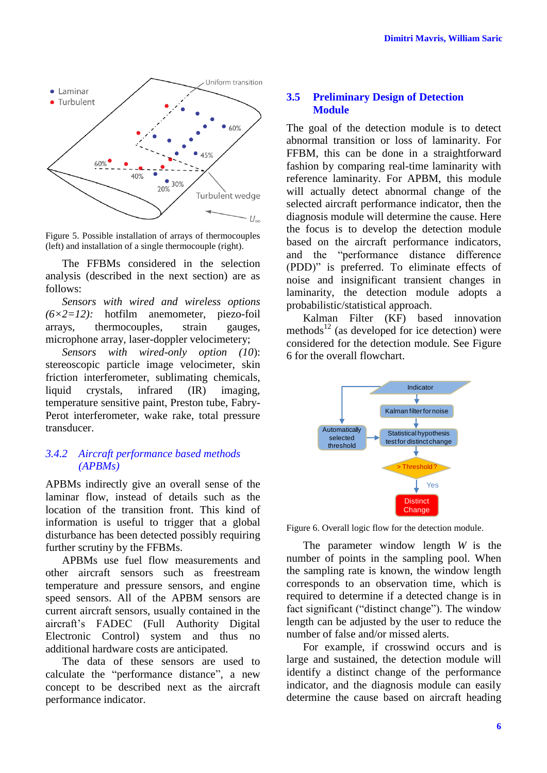

<span id="page-5-0"></span>Figure 5. Possible installation of arrays of thermocouples (left) and installation of a single thermocouple (right).

The FFBMs considered in the selection analysis (described in the next section) are as follows:

*Sensors with wired and wireless options (6×2=12):* hotfilm anemometer, piezo-foil arrays, thermocouples, strain gauges, microphone array, laser-doppler velocimetery;

*Sensors with wired-only option (10*): stereoscopic particle image velocimeter, skin friction interferometer, sublimating chemicals, liquid crystals, infrared (IR) imaging, temperature sensitive paint, Preston tube, Fabry-Perot interferometer, wake rake, total pressure transducer.

#### *3.4.2 Aircraft performance based methods (APBMs)*

APBMs indirectly give an overall sense of the laminar flow, instead of details such as the location of the transition front. This kind of information is useful to trigger that a global disturbance has been detected possibly requiring further scrutiny by the FFBMs.

APBMs use fuel flow measurements and other aircraft sensors such as freestream temperature and pressure sensors, and engine speed sensors. All of the APBM sensors are current aircraft sensors, usually contained in the aircraft"s FADEC (Full Authority Digital Electronic Control) system and thus no additional hardware costs are anticipated.

The data of these sensors are used to calculate the "performance distance", a new concept to be described next as the aircraft performance indicator.

#### **3.5 Preliminary Design of Detection Module**

The goal of the detection module is to detect abnormal transition or loss of laminarity. For FFBM, this can be done in a straightforward fashion by comparing real-time laminarity with reference laminarity. For APBM, this module will actually detect abnormal change of the selected aircraft performance indicator, then the diagnosis module will determine the cause. Here the focus is to develop the detection module based on the aircraft performance indicators, and the "performance distance difference (PDD)" is preferred. To eliminate effects of noise and insignificant transient changes in laminarity, the detection module adopts a probabilistic/statistical approach.

Kalman Filter (KF) based innovation methods<sup>12</sup> (as developed for ice detection) were considered for the detection module. See [Figure](#page-5-1)  [6](#page-5-1) for the overall flowchart.



<span id="page-5-1"></span>Figure 6. Overall logic flow for the detection module.

The parameter window length *W* is the number of points in the sampling pool. When the sampling rate is known, the window length corresponds to an observation time, which is required to determine if a detected change is in fact significant ("distinct change"). The window length can be adjusted by the user to reduce the number of false and/or missed alerts.

For example, if crosswind occurs and is large and sustained, the detection module will identify a distinct change of the performance indicator, and the diagnosis module can easily determine the cause based on aircraft heading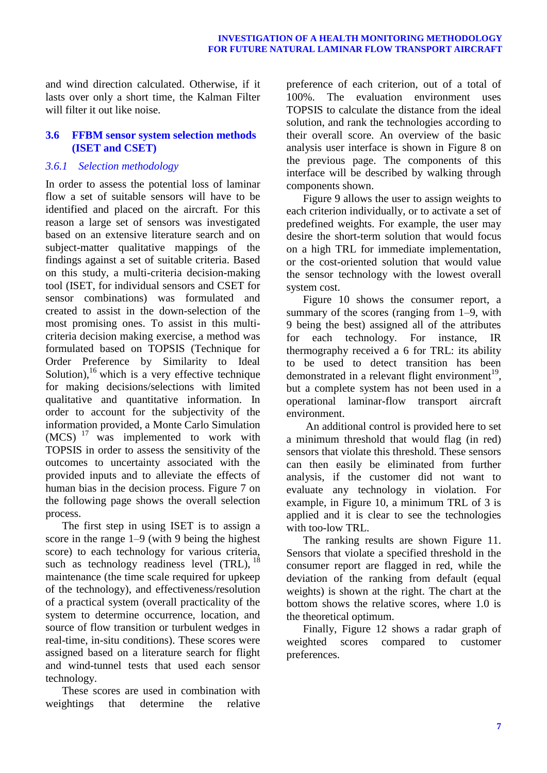and wind direction calculated. Otherwise, if it lasts over only a short time, the Kalman Filter will filter it out like noise.

#### **3.6 FFBM sensor system selection methods (ISET and CSET)**

#### *3.6.1 Selection methodology*

In order to assess the potential loss of laminar flow a set of suitable sensors will have to be identified and placed on the aircraft. For this reason a large set of sensors was investigated based on an extensive literature search and on subject-matter qualitative mappings of the findings against a set of suitable criteria. Based on this study, a multi-criteria decision-making tool (ISET, for individual sensors and CSET for sensor combinations) was formulated and created to assist in the down-selection of the most promising ones. To assist in this multicriteria decision making exercise, a method was formulated based on TOPSIS (Technique for Order Preference by Similarity to Ideal Solution),<sup>16</sup> which is a very effective technique for making decisions/selections with limited qualitative and quantitative information. In order to account for the subjectivity of the information provided, a Monte Carlo Simulation  $(MCS)$ <sup>17</sup> was implemented to work with TOPSIS in order to assess the sensitivity of the outcomes to uncertainty associated with the provided inputs and to alleviate the effects of human bias in the decision process. [Figure 7](#page-7-0) on the following page shows the overall selection process.

The first step in using ISET is to assign a score in the range 1–9 (with 9 being the highest score) to each technology for various criteria, such as technology readiness level  $(TRL)$ ,  $^{18}$ maintenance (the time scale required for upkeep of the technology), and effectiveness/resolution of a practical system (overall practicality of the system to determine occurrence, location, and source of flow transition or turbulent wedges in real-time, in-situ conditions). These scores were assigned based on a literature search for flight and wind-tunnel tests that used each sensor technology.

These scores are used in combination with weightings that determine the relative

preference of each criterion, out of a total of 100%. The evaluation environment uses TOPSIS to calculate the distance from the ideal solution, and rank the technologies according to their overall score. An overview of the basic analysis user interface is shown in [Figure 8](#page-7-1) on the previous page. The components of this interface will be described by walking through components shown.

[Figure 9](#page-8-0) allows the user to assign weights to each criterion individually, or to activate a set of predefined weights. For example, the user may desire the short-term solution that would focus on a high TRL for immediate implementation, or the cost-oriented solution that would value the sensor technology with the lowest overall system cost.

[Figure 10](#page-8-1) shows the consumer report, a summary of the scores (ranging from 1–9, with 9 being the best) assigned all of the attributes for each technology. For instance, IR thermography received a 6 for TRL: its ability to be used to detect transition has been demonstrated in a relevant flight environment $^{19}$ , but a complete system has not been used in a operational laminar-flow transport aircraft environment.

An additional control is provided here to set a minimum threshold that would flag (in red) sensors that violate this threshold. These sensors can then easily be eliminated from further analysis, if the customer did not want to evaluate any technology in violation. For example, in [Figure 10,](#page-8-1) a minimum TRL of 3 is applied and it is clear to see the technologies with too-low TRL.

<span id="page-6-0"></span>The ranking results are shown [Figure 11.](#page-9-0) Sensors that violate a specified threshold in the consumer report are flagged in red, while the deviation of the ranking from default (equal weights) is shown at the right. The chart at the bottom shows the relative scores, where 1.0 is the theoretical optimum.

Finally, [Figure 12](#page-9-1) shows a radar graph of weighted scores compared to customer preferences.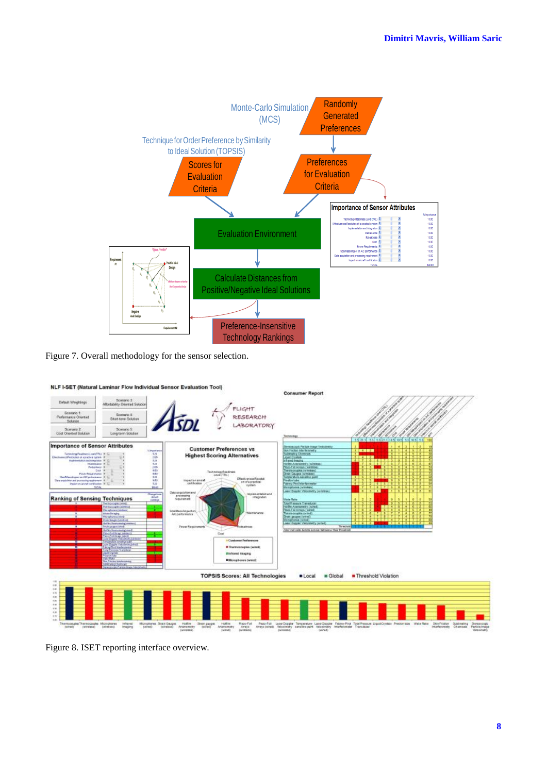

<span id="page-7-0"></span>Figure 7. Overall methodology for the sensor selection.



Strain gauges Hottlins Prace-Foli Desce-Foli Laser Doppler Temperature- Laser Dappler Fishery-Pind Total-Prassu<br>- Herman American Arrays Herman American Velocity Herman (Watchmody Trainsdocar<br>- Descend Descend Descend (Wat

<span id="page-7-1"></span>Figure 8. ISET reporting interface overview.

Microphones Strait Gauges Hoffini<br>| (eined) | (einelsse) | Ansmanedy<br>| (einelsse)

Microghanes inhared  $\frac{2\pi}{p_W}$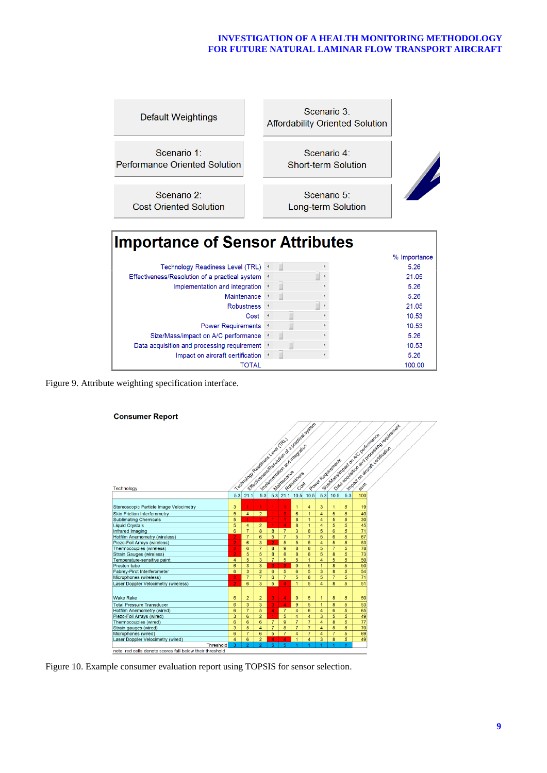#### **INVESTIGATION OF A HEALTH MONITORING METHODOLOGY FOR FUTURE NATURAL LAMINAR FLOW TRANSPORT AIRCRAFT**



<span id="page-8-0"></span>Figure 9. Attribute weighting specification interface.



<span id="page-8-1"></span>Figure 10. Example consumer evaluation report using TOPSIS for sensor selection.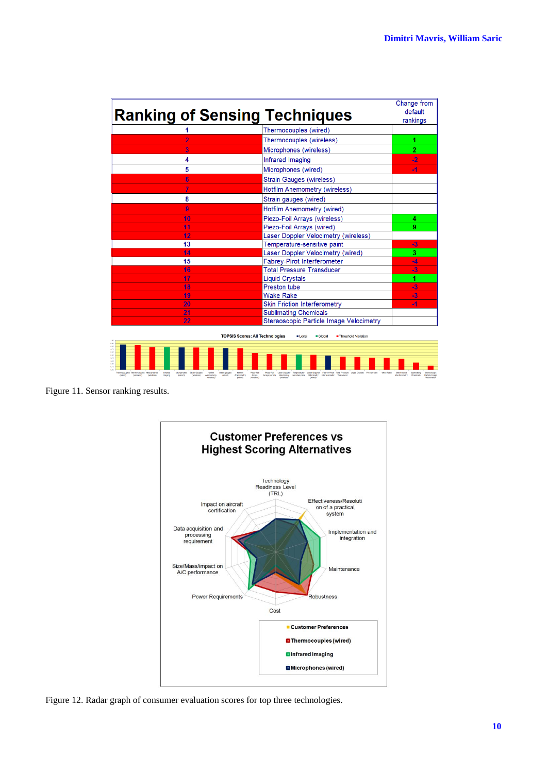| $\overline{2}$<br>3 | Thermocouples (wired)                   |                |
|---------------------|-----------------------------------------|----------------|
|                     |                                         |                |
|                     | Thermocouples (wireless)                | 1              |
|                     | Microphones (wireless)                  | $\overline{2}$ |
| 4                   | Infrared Imaging                        | $-2$           |
| 5                   | Microphones (wired)                     | $-4$           |
| 6                   | Strain Gauges (wireless)                |                |
| 7                   | Hotfilm Anemometry (wireless)           |                |
| 8                   | Strain gauges (wired)                   |                |
| 9                   | Hotfilm Anemometry (wired)              |                |
| 10                  | Piezo-Foil Arrays (wireless)            | 4              |
| 11                  | Piezo-Foil Arrays (wired)               | 9              |
| 12                  | Laser Doppler Velocimetry (wireless)    |                |
| 13                  | Temperature-sensitive paint             | $-3$           |
| 14                  | Laser Doppler Velocimetry (wired)       | 3              |
| 15                  | Fabrey-Pirot Interferometer             | -4             |
| 16                  | <b>Total Pressure Transducer</b>        | $-3$           |
| 17                  | <b>Liquid Crystals</b>                  | 1              |
| 18                  | Preston tube                            | $-3$           |
| 19                  | <b>Wake Rake</b>                        | -3             |
| 20                  | <b>Skin Friction Interferometry</b>     | $-1$           |
| 21                  | <b>Sublimating Chemicals</b>            |                |
| 22                  | Stereoscopic Particle Image Velocimetry |                |

<span id="page-9-0"></span>Irain Gauge<br>Telreless) Hottlin<br>Anemometry<br>(windess) Figure 11. Sensor ranking results.



<span id="page-9-1"></span>Figure 12. Radar graph of consumer evaluation scores for top three technologies.

▋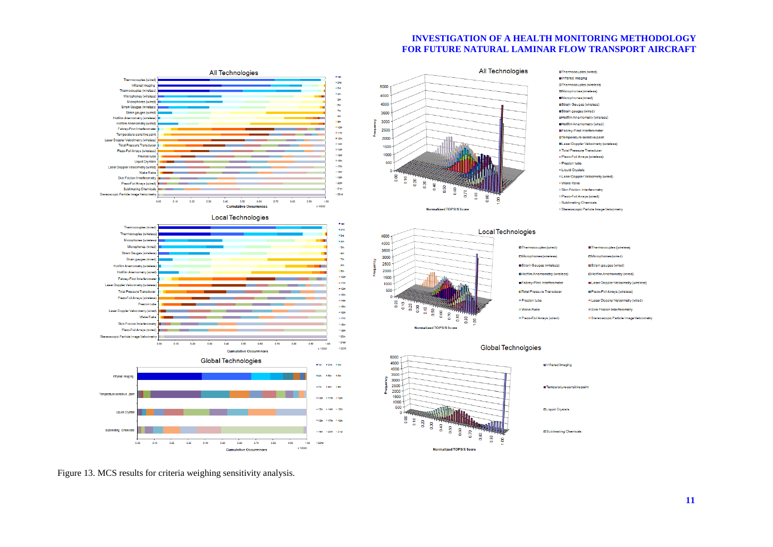#### **INVESTIGATION OF A HEALTH MONITORING METHODOLOGY FOR FUTURE NATURAL LAMINAR FLOW TRANSPORT AIRCRAFT**



<span id="page-10-0"></span>Figure 13. MCS results for criteria weighing sensitivity analysis.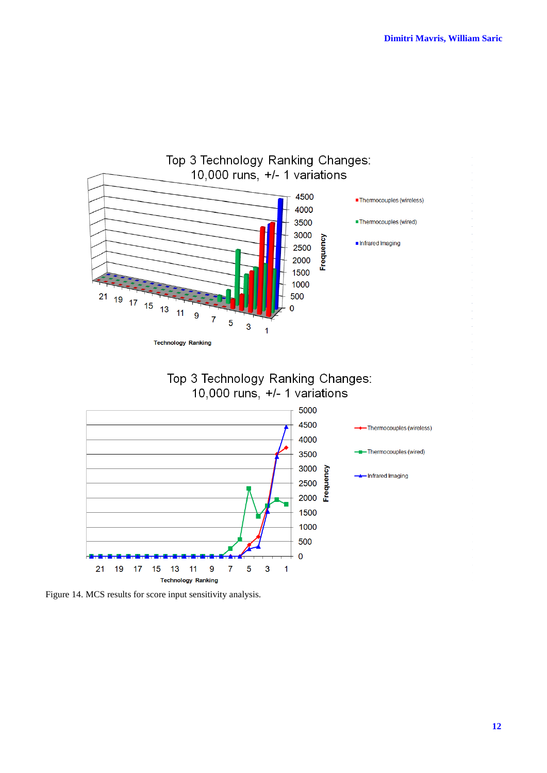





<span id="page-11-0"></span>Figure 14. MCS results for score input sensitivity analysis.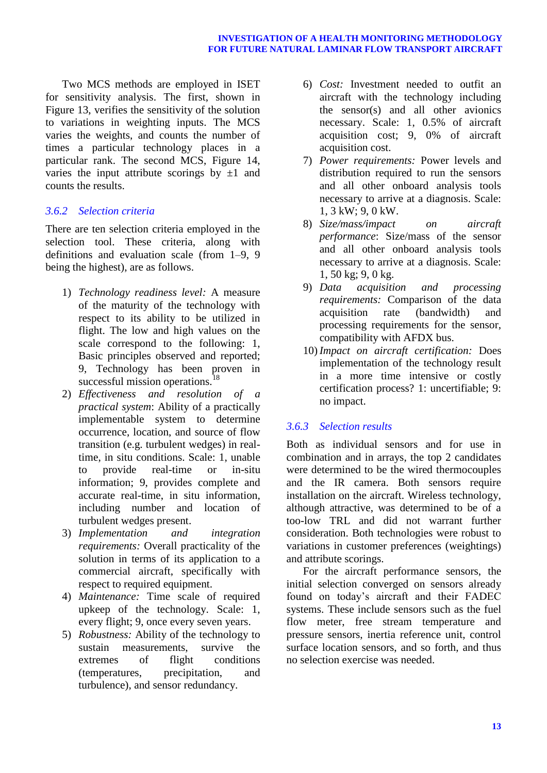Two MCS methods are employed in ISET for sensitivity analysis. The first, shown in [Figure 13,](#page-10-0) verifies the sensitivity of the solution to variations in weighting inputs. The MCS varies the weights, and counts the number of times a particular technology places in a particular rank. The second MCS, [Figure 14,](#page-11-0) varies the input attribute scorings by  $\pm 1$  and counts the results.

### *3.6.2 Selection criteria*

There are ten selection criteria employed in the selection tool. These criteria, along with definitions and evaluation scale (from 1–9, 9 being the highest), are as follows.

- 1) *Technology readiness level:* A measure of the maturity of the technology with respect to its ability to be utilized in flight. The low and high values on the scale correspond to the following: 1, Basic principles observed and reported; 9, Technology has been proven in successful mission operations.<sup>1</sup>
- 2) *Effectiveness and resolution of a practical system*: Ability of a practically implementable system to determine occurrence, location, and source of flow transition (e.g. turbulent wedges) in realtime, in situ conditions. Scale: 1, unable to provide real-time or in-situ information; 9, provides complete and accurate real-time, in situ information, including number and location of turbulent wedges present.
- 3) *Implementation and integration requirements:* Overall practicality of the solution in terms of its application to a commercial aircraft, specifically with respect to required equipment.
- 4) *Maintenance:* Time scale of required upkeep of the technology. Scale: 1, every flight; 9, once every seven years.
- 5) *Robustness:* Ability of the technology to sustain measurements, survive the extremes of flight conditions (temperatures, precipitation, and turbulence), and sensor redundancy.
- 6) *Cost:* Investment needed to outfit an aircraft with the technology including the sensor(s) and all other avionics necessary. Scale: 1, 0.5% of aircraft acquisition cost; 9, 0% of aircraft acquisition cost.
- 7) *Power requirements:* Power levels and distribution required to run the sensors and all other onboard analysis tools necessary to arrive at a diagnosis. Scale: 1, 3 kW; 9, 0 kW.
- 8) *Size/mass/impact on aircraft performance*: Size/mass of the sensor and all other onboard analysis tools necessary to arrive at a diagnosis. Scale: 1, 50 kg; 9, 0 kg.
- 9) *Data acquisition and processing requirements:* Comparison of the data acquisition rate (bandwidth) and processing requirements for the sensor, compatibility with AFDX bus.
- 10) *Impact on aircraft certification:* Does implementation of the technology result in a more time intensive or costly certification process? 1: uncertifiable; 9: no impact.

## *3.6.3 Selection results*

Both as individual sensors and for use in combination and in arrays, the top 2 candidates were determined to be the wired thermocouples and the IR camera. Both sensors require installation on the aircraft. Wireless technology, although attractive, was determined to be of a too-low TRL and did not warrant further consideration. Both technologies were robust to variations in customer preferences (weightings) and attribute scorings.

For the aircraft performance sensors, the initial selection converged on sensors already found on today"s aircraft and their FADEC systems. These include sensors such as the fuel flow meter, free stream temperature and pressure sensors, inertia reference unit, control surface location sensors, and so forth, and thus no selection exercise was needed.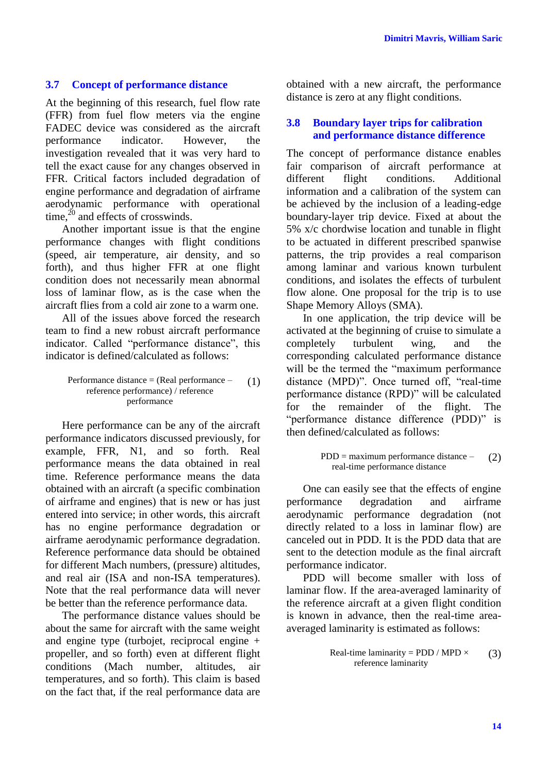#### **3.7 Concept of performance distance**

At the beginning of this research, fuel flow rate (FFR) from fuel flow meters via the engine FADEC device was considered as the aircraft performance indicator. However, the investigation revealed that it was very hard to tell the exact cause for any changes observed in FFR. Critical factors included degradation of engine performance and degradation of airframe aerodynamic performance with operational time, $^{20}$  and effects of crosswinds.

Another important issue is that the engine performance changes with flight conditions (speed, air temperature, air density, and so forth), and thus higher FFR at one flight condition does not necessarily mean abnormal loss of laminar flow, as is the case when the aircraft flies from a cold air zone to a warm one.

All of the issues above forced the research team to find a new robust aircraft performance indicator. Called "performance distance", this indicator is defined/calculated as follows:

#### Performance distance = (Real performance – reference performance) / reference performance (1)

Here performance can be any of the aircraft performance indicators discussed previously, for example, FFR, N1, and so forth. Real performance means the data obtained in real time. Reference performance means the data obtained with an aircraft (a specific combination of airframe and engines) that is new or has just entered into service; in other words, this aircraft has no engine performance degradation or airframe aerodynamic performance degradation. Reference performance data should be obtained for different Mach numbers, (pressure) altitudes, and real air (ISA and non-ISA temperatures). Note that the real performance data will never be better than the reference performance data.

The performance distance values should be about the same for aircraft with the same weight and engine type (turbojet, reciprocal engine + propeller, and so forth) even at different flight conditions (Mach number, altitudes, air temperatures, and so forth). This claim is based on the fact that, if the real performance data are obtained with a new aircraft, the performance distance is zero at any flight conditions.

#### **3.8 Boundary layer trips for calibration and performance distance difference**

The concept of performance distance enables fair comparison of aircraft performance at different flight conditions. Additional information and a calibration of the system can be achieved by the inclusion of a leading-edge boundary-layer trip device. Fixed at about the 5% x/c chordwise location and tunable in flight to be actuated in different prescribed spanwise patterns, the trip provides a real comparison among laminar and various known turbulent conditions, and isolates the effects of turbulent flow alone. One proposal for the trip is to use Shape Memory Alloys (SMA).

In one application, the trip device will be activated at the beginning of cruise to simulate a completely turbulent wing, and the corresponding calculated performance distance will be the termed the "maximum performance" distance (MPD)". Once turned off, "real-time performance distance (RPD)" will be calculated for the remainder of the flight. The "performance distance difference (PDD)" is then defined/calculated as follows:

$$
PDD = maximum performance distance - (2)
$$
  
real-time performance distance

One can easily see that the effects of engine performance degradation and airframe aerodynamic performance degradation (not directly related to a loss in laminar flow) are canceled out in PDD. It is the PDD data that are sent to the detection module as the final aircraft performance indicator.

PDD will become smaller with loss of laminar flow. If the area-averaged laminarity of the reference aircraft at a given flight condition is known in advance, then the real-time areaaveraged laminarity is estimated as follows:

Real-time laminarity = PDD / MPD 
$$
\times
$$
 (3) reference laminarity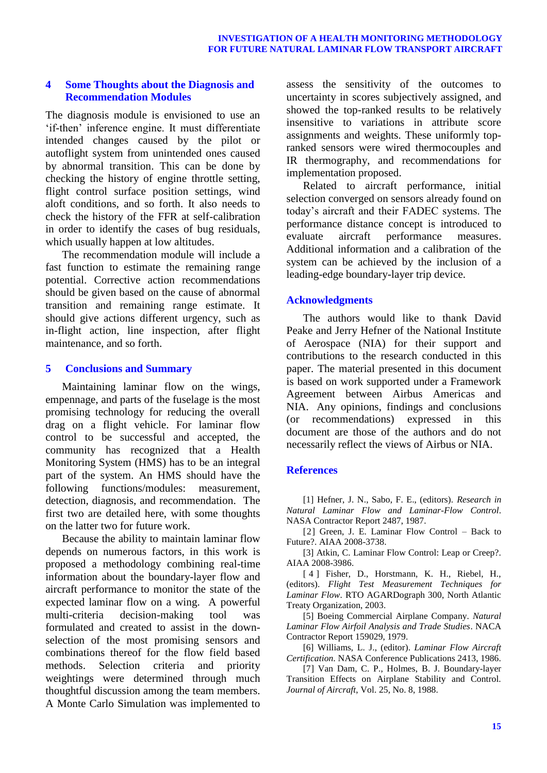### **4 Some Thoughts about the Diagnosis and Recommendation Modules**

The diagnosis module is envisioned to use an "if-then" inference engine. It must differentiate intended changes caused by the pilot or autoflight system from unintended ones caused by abnormal transition. This can be done by checking the history of engine throttle setting, flight control surface position settings, wind aloft conditions, and so forth. It also needs to check the history of the FFR at self-calibration in order to identify the cases of bug residuals, which usually happen at low altitudes.

The recommendation module will include a fast function to estimate the remaining range potential. Corrective action recommendations should be given based on the cause of abnormal transition and remaining range estimate. It should give actions different urgency, such as in-flight action, line inspection, after flight maintenance, and so forth.

#### **5 Conclusions and Summary**

Maintaining laminar flow on the wings, empennage, and parts of the fuselage is the most promising technology for reducing the overall drag on a flight vehicle. For laminar flow control to be successful and accepted, the community has recognized that a Health Monitoring System (HMS) has to be an integral part of the system. An HMS should have the following functions/modules: measurement, detection, diagnosis, and recommendation. The first two are detailed here, with some thoughts on the latter two for future work.

Because the ability to maintain laminar flow depends on numerous factors, in this work is proposed a methodology combining real-time information about the boundary-layer flow and aircraft performance to monitor the state of the expected laminar flow on a wing. A powerful multi-criteria decision-making tool was formulated and created to assist in the downselection of the most promising sensors and combinations thereof for the flow field based methods. Selection criteria and priority weightings were determined through much thoughtful discussion among the team members. A Monte Carlo Simulation was implemented to assess the sensitivity of the outcomes to uncertainty in scores subjectively assigned, and showed the top-ranked results to be relatively insensitive to variations in attribute score assignments and weights. These uniformly topranked sensors were wired thermocouples and IR thermography, and recommendations for implementation proposed.

Related to aircraft performance, initial selection converged on sensors already found on today"s aircraft and their FADEC systems. The performance distance concept is introduced to evaluate aircraft performance measures. Additional information and a calibration of the system can be achieved by the inclusion of a leading-edge boundary-layer trip device.

### **Acknowledgments**

The authors would like to thank David Peake and Jerry Hefner of the National Institute of Aerospace (NIA) for their support and contributions to the research conducted in this paper. The material presented in this document is based on work supported under a Framework Agreement between Airbus Americas and NIA. Any opinions, findings and conclusions (or recommendations) expressed in this document are those of the authors and do not necessarily reflect the views of Airbus or NIA.

### **References**

[1] Hefner, J. N., Sabo, F. E., (editors). *Research in Natural Laminar Flow and Laminar-Flow Control*. NASA Contractor Report 2487, 1987.

[2] Green, J. E. Laminar Flow Control – Back to Future?. AIAA 2008-3738.

[3] Atkin, C. Laminar Flow Control: Leap or Creep?. AIAA 2008-3986.

[ 4 ] Fisher, D., Horstmann, K. H., Riebel, H., (editors). *Flight Test Measurement Techniques for Laminar Flow*. RTO AGARDograph 300, North Atlantic Treaty Organization, 2003.

[5] Boeing Commercial Airplane Company. *Natural Laminar Flow Airfoil Analysis and Trade Studies*. NACA Contractor Report 159029, 1979.

[6] Williams, L. J., (editor). *Laminar Flow Aircraft Certification.* NASA Conference Publications 2413, 1986.

[7] Van Dam, C. P., Holmes, B. J. Boundary-layer Transition Effects on Airplane Stability and Control. *Journal of Aircraft*, Vol. 25, No. 8, 1988.